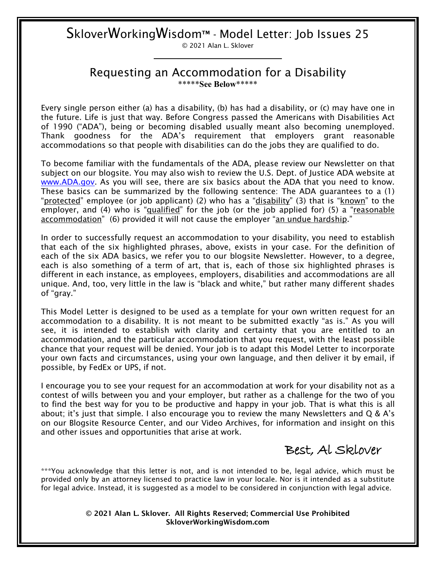# SkloverWorkingWisdom™ - Model Letter: Job Issues 25

© 2021 Alan L. Sklover

#### Requesting an Accommodation for a Disability \*\*\*\*\***See Below**\*\*\*\*\*

Every single person either (a) has a disability, (b) has had a disability, or (c) may have one in the future. Life is just that way. Before Congress passed the Americans with Disabilities Act of 1990 ("ADA"), being or becoming disabled usually meant also becoming unemployed. Thank goodness for the ADA's requirement that employers grant reasonable accommodations so that people with disabilities can do the jobs they are qualified to do.

To become familiar with the fundamentals of the ADA, please review our Newsletter on that subject on our blogsite. You may also wish to review the U.S. Dept. of Justice ADA website at [www.ADA.gov.](http://www.ada.gov/) As you will see, there are six basics about the ADA that you need to know. These basics can be summarized by the following sentence: The ADA guarantees to a (1) "protected" employee (or job applicant) (2) who has a "disability" (3) that is "known" to the employer, and (4) who is "*qualified*" for the job (or the job applied for) (5) a "reasonable accommodation" (6) provided it will not cause the employer "an undue hardship."

In order to successfully request an accommodation to your disability, you need to establish that each of the six highlighted phrases, above, exists in your case. For the definition of each of the six ADA basics, we refer you to our blogsite Newsletter. However, to a degree, each is also something of a term of art, that is, each of those six highlighted phrases is different in each instance, as employees, employers, disabilities and accommodations are all unique. And, too, very little in the law is "black and white," but rather many different shades of "gray."

This Model Letter is designed to be used as a template for your own written request for an accommodation to a disability. It is not meant to be submitted exactly "as is." As you will see, it is intended to establish with clarity and certainty that you are entitled to an accommodation, and the particular accommodation that you request, with the least possible chance that your request will be denied. Your job is to adapt this Model Letter to incorporate your own facts and circumstances, using your own language, and then deliver it by email, if possible, by FedEx or UPS, if not.

I encourage you to see your request for an accommodation at work for your disability not as a contest of wills between you and your employer, but rather as a challenge for the two of you to find the best way for you to be productive and happy in your job. That is what this is all about; it's just that simple. I also encourage you to review the many Newsletters and  $Q \& A$ 's on our Blogsite Resource Center, and our Video Archives, for information and insight on this and other issues and opportunities that arise at work.

Best, Al Sklover

\*\*\*You acknowledge that this letter is not, and is not intended to be, legal advice, which must be provided only by an attorney licensed to practice law in your locale. Nor is it intended as a substitute for legal advice. Instead, it is suggested as a model to be considered in conjunction with legal advice.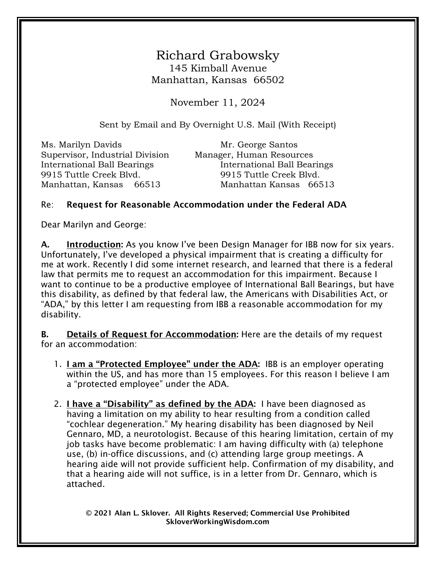### Richard Grabowsky 145 Kimball Avenue Manhattan, Kansas 66502

November 11, 2024

Sent by Email and By Overnight U.S. Mail (With Receipt)

Ms. Marilyn Davids Mr. George Santos Supervisor, Industrial Division Manager, Human Resources 9915 Tuttle Creek Blvd. 9915 Tuttle Creek Blvd.

International Ball Bearings International Ball Bearings Manhattan, Kansas 66513 Manhattan Kansas 66513

#### Re: Request for Reasonable Accommodation under the Federal ADA

Dear Marilyn and George:

A. Introduction: As you know I've been Design Manager for IBB now for six years. Unfortunately, I've developed a physical impairment that is creating a difficulty for me at work. Recently I did some internet research, and learned that there is a federal law that permits me to request an accommodation for this impairment. Because I want to continue to be a productive employee of International Ball Bearings, but have this disability, as defined by that federal law, the Americans with Disabilities Act, or "ADA," by this letter I am requesting from IBB a reasonable accommodation for my disability.

B. Details of Request for Accommodation: Here are the details of my request for an accommodation:

- 1. I am a "Protected Employee" under the ADA: IBB is an employer operating within the US, and has more than 15 employees. For this reason I believe I am a "protected employee" under the ADA.
- 2. I have a "Disability" as defined by the ADA: I have been diagnosed as having a limitation on my ability to hear resulting from a condition called "cochlear degeneration." My hearing disability has been diagnosed by Neil Gennaro, MD, a neurotologist. Because of this hearing limitation, certain of my job tasks have become problematic: I am having difficulty with (a) telephone use, (b) in-office discussions, and (c) attending large group meetings. A hearing aide will not provide sufficient help. Confirmation of my disability, and that a hearing aide will not suffice, is in a letter from Dr. Gennaro, which is attached.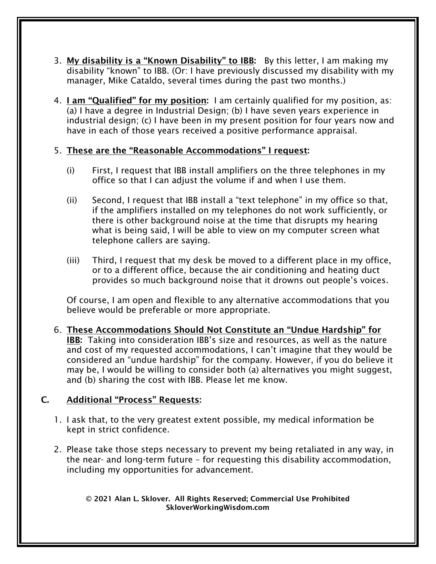- 3. My disability is a "Known Disability" to IBB: By this letter, I am making my disability "known" to IBB. (Or: I have previously discussed my disability with my manager, Mike Cataldo, several times during the past two months.)
- 4. I am "Qualified" for my position: I am certainly qualified for my position, as: (a) I have a degree in Industrial Design; (b) I have seven years experience in industrial design; (c) I have been in my present position for four years now and have in each of those years received a positive performance appraisal.

#### 5. These are the "Reasonable Accommodations" I request:

- (i) First, I request that IBB install amplifiers on the three telephones in my office so that I can adjust the volume if and when I use them.
- (ii) Second, I request that IBB install a "text telephone" in my office so that, if the amplifiers installed on my telephones do not work sufficiently, or there is other background noise at the time that disrupts my hearing what is being said, I will be able to view on my computer screen what telephone callers are saying.
- (iii) Third, I request that my desk be moved to a different place in my office, or to a different office, because the air conditioning and heating duct provides so much background noise that it drowns out people's voices.

Of course, I am open and flexible to any alternative accommodations that you believe would be preferable or more appropriate.

6. These Accommodations Should Not Constitute an "Undue Hardship" for IBB: Taking into consideration IBB's size and resources, as well as the nature and cost of my requested accommodations, I can't imagine that they would be considered an "undue hardship" for the company. However, if you do believe it may be, I would be willing to consider both (a) alternatives you might suggest, and (b) sharing the cost with IBB. Please let me know.

#### C. Additional "Process" Requests:

- 1. I ask that, to the very greatest extent possible, my medical information be kept in strict confidence.
- 2. Please take those steps necessary to prevent my being retaliated in any way, in the near- and long-term future – for requesting this disability accommodation, including my opportunities for advancement.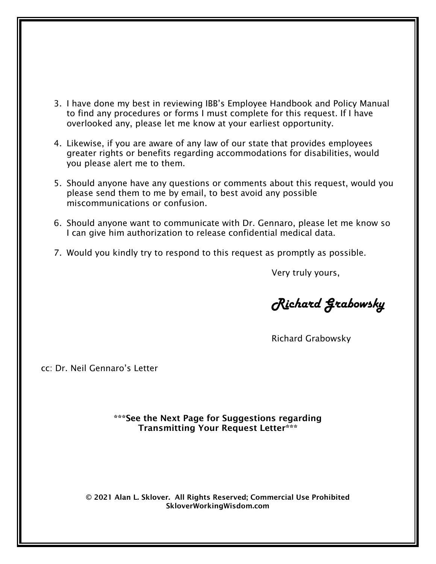- 3. I have done my best in reviewing IBB's Employee Handbook and Policy Manual to find any procedures or forms I must complete for this request. If I have overlooked any, please let me know at your earliest opportunity.
- 4. Likewise, if you are aware of any law of our state that provides employees greater rights or benefits regarding accommodations for disabilities, would you please alert me to them.
- 5. Should anyone have any questions or comments about this request, would you please send them to me by email, to best avoid any possible miscommunications or confusion.
- 6. Should anyone want to communicate with Dr. Gennaro, please let me know so I can give him authorization to release confidential medical data.
- 7. Would you kindly try to respond to this request as promptly as possible.

Very truly yours,

Richard Grabowsky

Richard Grabowsky

cc: Dr. Neil Gennaro's Letter

\*\*\*See the Next Page for Suggestions regarding Transmitting Your Request Letter\*\*\*